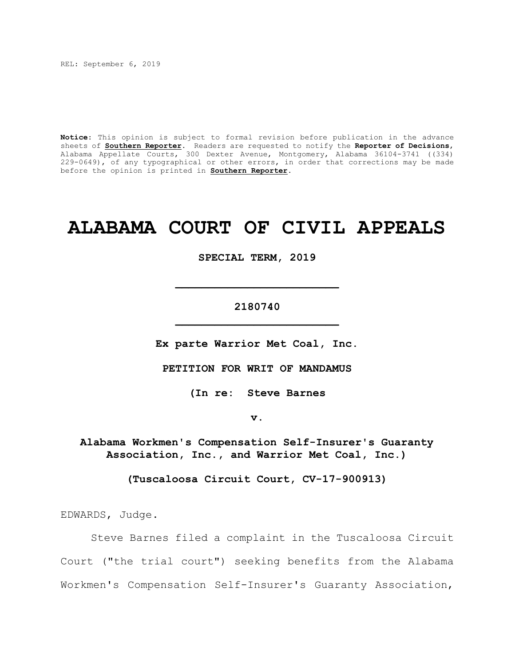REL: September 6, 2019

**Notice**: This opinion is subject to formal revision before publication in the advance sheets of **Southern Reporter**. Readers are requested to notify the **Reporter of Decisions**, Alabama Appellate Courts, 300 Dexter Avenue, Montgomery, Alabama 36104-3741 ((334) 229-0649), of any typographical or other errors, in order that corrections may be made before the opinion is printed in **Southern Reporter**.

# **ALABAMA COURT OF CIVIL APPEALS**

**SPECIAL TERM, 2019**

# **2180740 \_\_\_\_\_\_\_\_\_\_\_\_\_\_\_\_\_\_\_\_\_\_\_\_\_**

**\_\_\_\_\_\_\_\_\_\_\_\_\_\_\_\_\_\_\_\_\_\_\_\_\_**

**Ex parte Warrior Met Coal, Inc.**

**PETITION FOR WRIT OF MANDAMUS**

**(In re: Steve Barnes**

**v.**

**Alabama Workmen's Compensation Self-Insurer's Guaranty Association, Inc., and Warrior Met Coal, Inc.)**

**(Tuscaloosa Circuit Court, CV-17-900913)**

EDWARDS, Judge.

Steve Barnes filed a complaint in the Tuscaloosa Circuit Court ("the trial court") seeking benefits from the Alabama Workmen's Compensation Self-Insurer's Guaranty Association,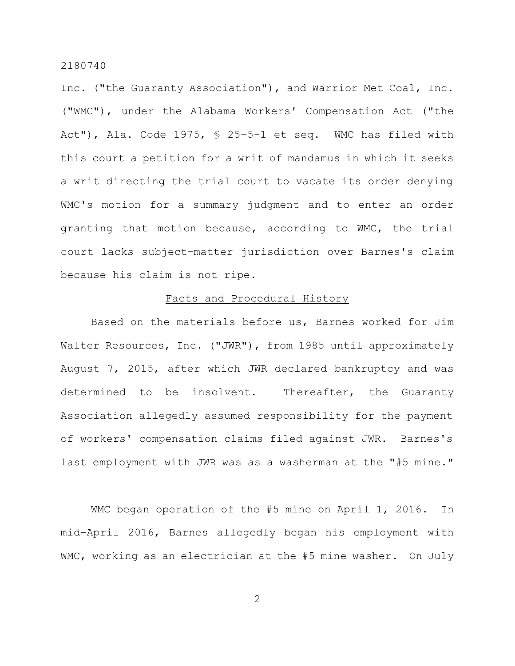Inc. ("the Guaranty Association"), and Warrior Met Coal, Inc. ("WMC"), under the Alabama Workers' Compensation Act ("the Act"), Ala. Code 1975, § 25–5–1 et seq. WMC has filed with this court a petition for a writ of mandamus in which it seeks a writ directing the trial court to vacate its order denying WMC's motion for a summary judgment and to enter an order granting that motion because, according to WMC, the trial court lacks subject-matter jurisdiction over Barnes's claim because his claim is not ripe.

### Facts and Procedural History

Based on the materials before us, Barnes worked for Jim Walter Resources, Inc. ("JWR"), from 1985 until approximately August 7, 2015, after which JWR declared bankruptcy and was determined to be insolvent. Thereafter, the Guaranty Association allegedly assumed responsibility for the payment of workers' compensation claims filed against JWR. Barnes's last employment with JWR was as a washerman at the "#5 mine."

WMC began operation of the #5 mine on April 1, 2016. In mid-April 2016, Barnes allegedly began his employment with WMC, working as an electrician at the #5 mine washer. On July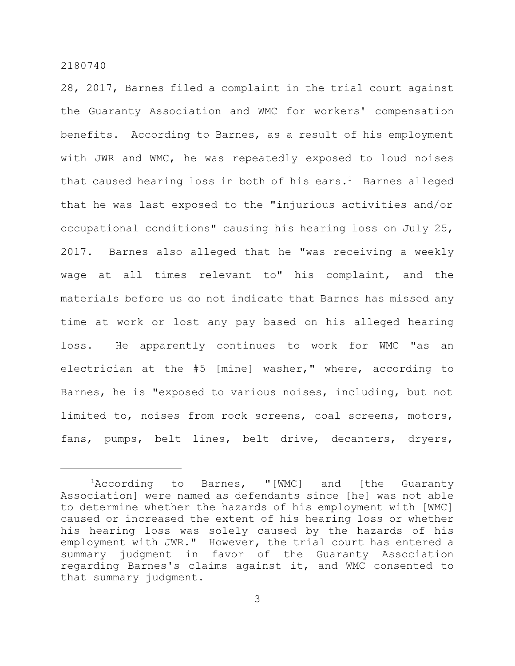28, 2017, Barnes filed a complaint in the trial court against the Guaranty Association and WMC for workers' compensation benefits. According to Barnes, as a result of his employment with JWR and WMC, he was repeatedly exposed to loud noises that caused hearing loss in both of his ears.<sup>1</sup> Barnes alleged that he was last exposed to the "injurious activities and/or occupational conditions" causing his hearing loss on July 25, 2017. Barnes also alleged that he "was receiving a weekly wage at all times relevant to" his complaint, and the materials before us do not indicate that Barnes has missed any time at work or lost any pay based on his alleged hearing loss. He apparently continues to work for WMC "as an electrician at the #5 [mine] washer," where, according to Barnes, he is "exposed to various noises, including, but not limited to, noises from rock screens, coal screens, motors, fans, pumps, belt lines, belt drive, decanters, dryers,

<sup>&</sup>lt;sup>1</sup>According to Barnes, "[WMC] and [the Guaranty Association] were named as defendants since [he] was not able to determine whether the hazards of his employment with [WMC] caused or increased the extent of his hearing loss or whether his hearing loss was solely caused by the hazards of his employment with JWR." However, the trial court has entered a summary judgment in favor of the Guaranty Association regarding Barnes's claims against it, and WMC consented to that summary judgment.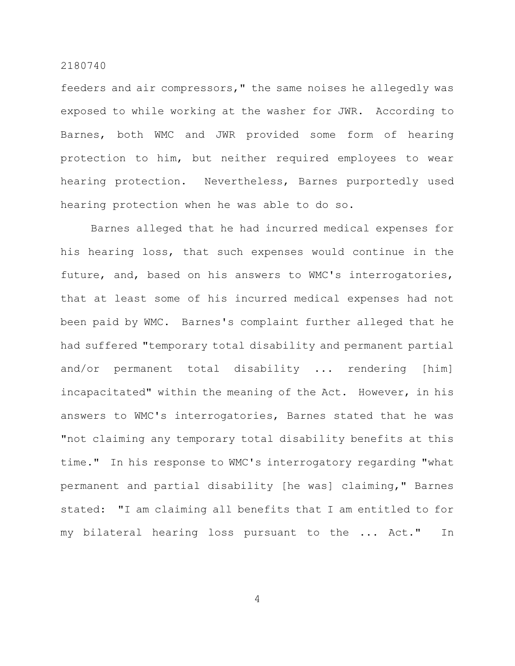feeders and air compressors," the same noises he allegedly was exposed to while working at the washer for JWR. According to Barnes, both WMC and JWR provided some form of hearing protection to him, but neither required employees to wear hearing protection. Nevertheless, Barnes purportedly used hearing protection when he was able to do so.

Barnes alleged that he had incurred medical expenses for his hearing loss, that such expenses would continue in the future, and, based on his answers to WMC's interrogatories, that at least some of his incurred medical expenses had not been paid by WMC. Barnes's complaint further alleged that he had suffered "temporary total disability and permanent partial and/or permanent total disability ... rendering [him] incapacitated" within the meaning of the Act. However, in his answers to WMC's interrogatories, Barnes stated that he was "not claiming any temporary total disability benefits at this time." In his response to WMC's interrogatory regarding "what permanent and partial disability [he was] claiming," Barnes stated: "I am claiming all benefits that I am entitled to for my bilateral hearing loss pursuant to the ... Act." In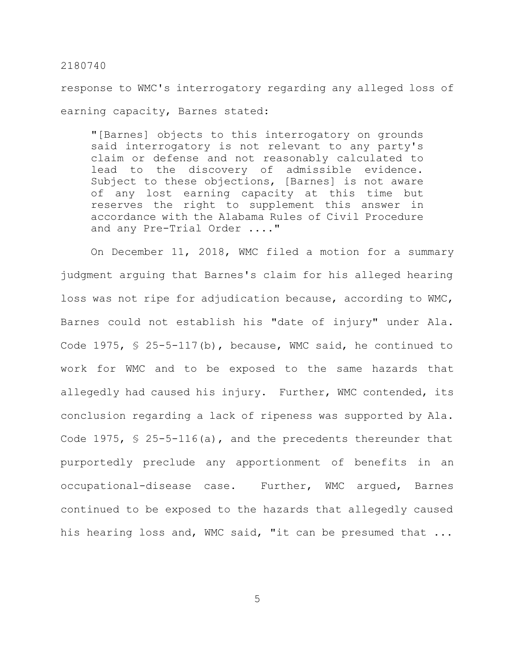response to WMC's interrogatory regarding any alleged loss of earning capacity, Barnes stated:

"[Barnes] objects to this interrogatory on grounds said interrogatory is not relevant to any party's claim or defense and not reasonably calculated to lead to the discovery of admissible evidence. Subject to these objections, [Barnes] is not aware of any lost earning capacity at this time but reserves the right to supplement this answer in accordance with the Alabama Rules of Civil Procedure and any Pre-Trial Order ...."

On December 11, 2018, WMC filed a motion for a summary judgment arguing that Barnes's claim for his alleged hearing loss was not ripe for adjudication because, according to WMC, Barnes could not establish his "date of injury" under Ala. Code 1975, § 25-5-117(b), because, WMC said, he continued to work for WMC and to be exposed to the same hazards that allegedly had caused his injury. Further, WMC contended, its conclusion regarding a lack of ripeness was supported by Ala. Code 1975, § 25-5-116(a), and the precedents thereunder that purportedly preclude any apportionment of benefits in an occupational-disease case. Further, WMC argued, Barnes continued to be exposed to the hazards that allegedly caused his hearing loss and, WMC said, "it can be presumed that ...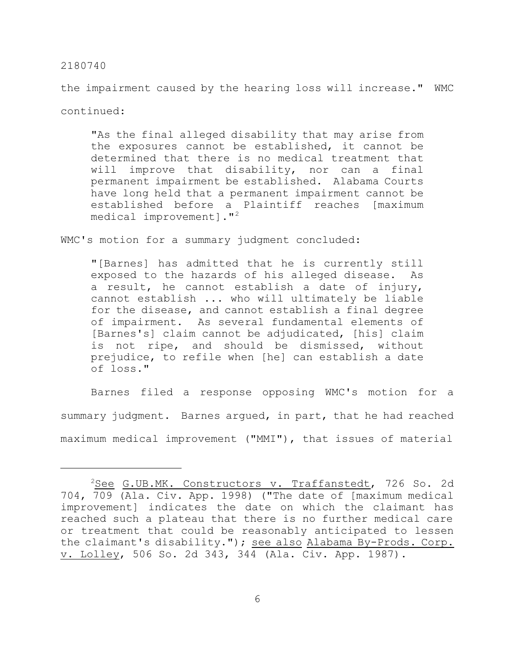the impairment caused by the hearing loss will increase." WMC continued:

"As the final alleged disability that may arise from the exposures cannot be established, it cannot be determined that there is no medical treatment that will improve that disability, nor can a final permanent impairment be established. Alabama Courts have long held that a permanent impairment cannot be established before a Plaintiff reaches [maximum medical improvement]."<sup>2</sup>

WMC's motion for a summary judgment concluded:

"[Barnes] has admitted that he is currently still exposed to the hazards of his alleged disease. As a result, he cannot establish a date of injury, cannot establish ... who will ultimately be liable for the disease, and cannot establish a final degree of impairment. As several fundamental elements of [Barnes's] claim cannot be adjudicated, [his] claim is not ripe, and should be dismissed, without prejudice, to refile when [he] can establish a date of loss."

Barnes filed a response opposing WMC's motion for a summary judgment. Barnes argued, in part, that he had reached maximum medical improvement ("MMI"), that issues of material

<sup>&</sup>lt;sup>2</sup>See G.UB.MK. Constructors v. Traffanstedt, 726 So. 2d 704, 709 (Ala. Civ. App. 1998) ("The date of [maximum medical improvement] indicates the date on which the claimant has reached such a plateau that there is no further medical care or treatment that could be reasonably anticipated to lessen the claimant's disability."); see also Alabama By-Prods. Corp. v. Lolley, 506 So. 2d 343, 344 (Ala. Civ. App. 1987).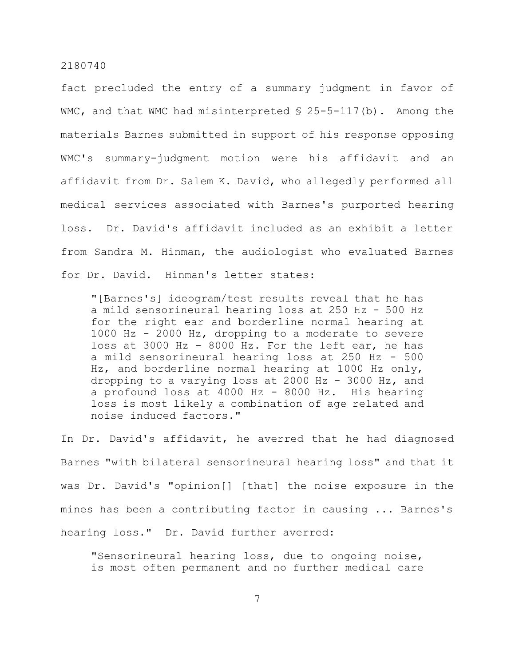fact precluded the entry of a summary judgment in favor of WMC, and that WMC had misinterpreted  $$ 25-5-117(b)$ . Among the materials Barnes submitted in support of his response opposing WMC's summary-judgment motion were his affidavit and an affidavit from Dr. Salem K. David, who allegedly performed all medical services associated with Barnes's purported hearing loss. Dr. David's affidavit included as an exhibit a letter from Sandra M. Hinman, the audiologist who evaluated Barnes for Dr. David. Hinman's letter states:

"[Barnes's] ideogram/test results reveal that he has a mild sensorineural hearing loss at 250 Hz - 500 Hz for the right ear and borderline normal hearing at 1000 Hz - 2000 Hz, dropping to a moderate to severe loss at 3000 Hz - 8000 Hz. For the left ear, he has a mild sensorineural hearing loss at 250 Hz - 500 Hz, and borderline normal hearing at 1000 Hz only, dropping to a varying loss at 2000 Hz - 3000 Hz, and a profound loss at 4000 Hz - 8000 Hz. His hearing loss is most likely a combination of age related and noise induced factors."

In Dr. David's affidavit, he averred that he had diagnosed Barnes "with bilateral sensorineural hearing loss" and that it was Dr. David's "opinion[] [that] the noise exposure in the mines has been a contributing factor in causing ... Barnes's hearing loss." Dr. David further averred:

"Sensorineural hearing loss, due to ongoing noise, is most often permanent and no further medical care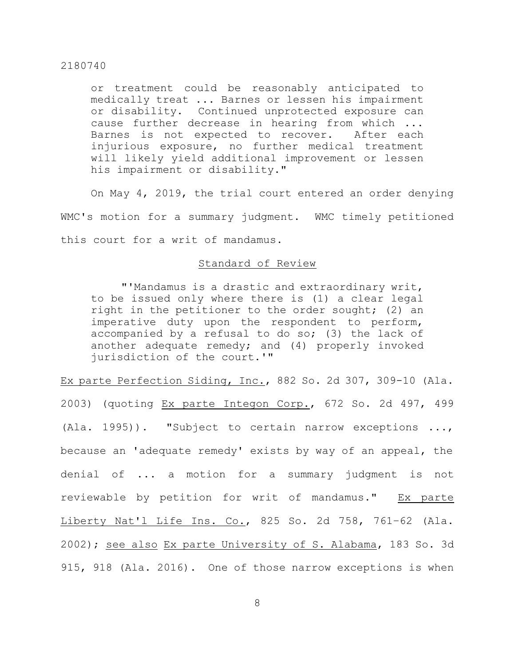or treatment could be reasonably anticipated to medically treat ... Barnes or lessen his impairment or disability. Continued unprotected exposure can cause further decrease in hearing from which ... Barnes is not expected to recover. After each injurious exposure, no further medical treatment will likely yield additional improvement or lessen his impairment or disability."

On May 4, 2019, the trial court entered an order denying WMC's motion for a summary judgment. WMC timely petitioned this court for a writ of mandamus.

## Standard of Review

"'Mandamus is a drastic and extraordinary writ, to be issued only where there is (1) a clear legal right in the petitioner to the order sought; (2) an imperative duty upon the respondent to perform, accompanied by a refusal to do so; (3) the lack of another adequate remedy; and (4) properly invoked jurisdiction of the court.'"

Ex parte Perfection Siding, Inc., 882 So. 2d 307, 309-10 (Ala. 2003) (quoting Ex parte Integon Corp., 672 So. 2d 497, 499 (Ala. 1995)). "Subject to certain narrow exceptions ..., because an 'adequate remedy' exists by way of an appeal, the denial of ... a motion for a summary judgment is not reviewable by petition for writ of mandamus." Ex parte Liberty Nat'l Life Ins. Co., 825 So. 2d 758, 761–62 (Ala. 2002); see also Ex parte University of S. Alabama, 183 So. 3d 915, 918 (Ala. 2016). One of those narrow exceptions is when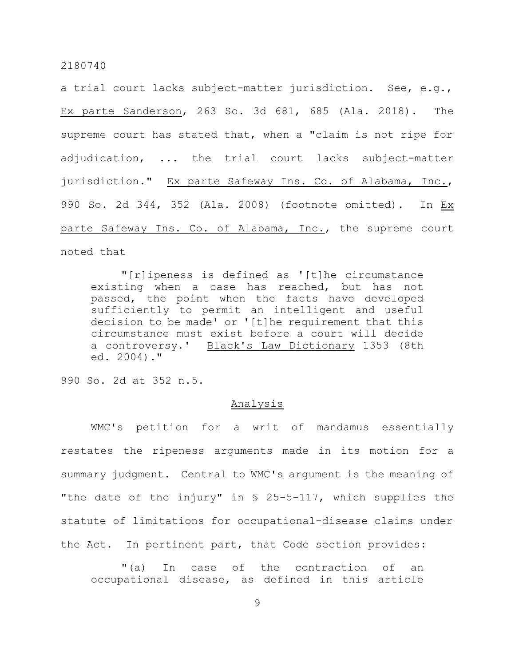a trial court lacks subject-matter jurisdiction. See, e.g., Ex parte Sanderson, 263 So. 3d 681, 685 (Ala. 2018). The supreme court has stated that, when a "claim is not ripe for adjudication, ... the trial court lacks subject-matter jurisdiction." Ex parte Safeway Ins. Co. of Alabama, Inc., 990 So. 2d 344, 352 (Ala. 2008) (footnote omitted). In Ex parte Safeway Ins. Co. of Alabama, Inc., the supreme court noted that

"[r]ipeness is defined as '[t]he circumstance existing when a case has reached, but has not passed, the point when the facts have developed sufficiently to permit an intelligent and useful decision to be made' or '[t]he requirement that this circumstance must exist before a court will decide a controversy.' Black's Law Dictionary 1353 (8th ed. 2004)."

990 So. 2d at 352 n.5.

#### Analysis

WMC's petition for a writ of mandamus essentially restates the ripeness arguments made in its motion for a summary judgment. Central to WMC's argument is the meaning of "the date of the injury" in § 25-5-117, which supplies the statute of limitations for occupational-disease claims under the Act. In pertinent part, that Code section provides:

"(a) In case of the contraction of an occupational disease, as defined in this article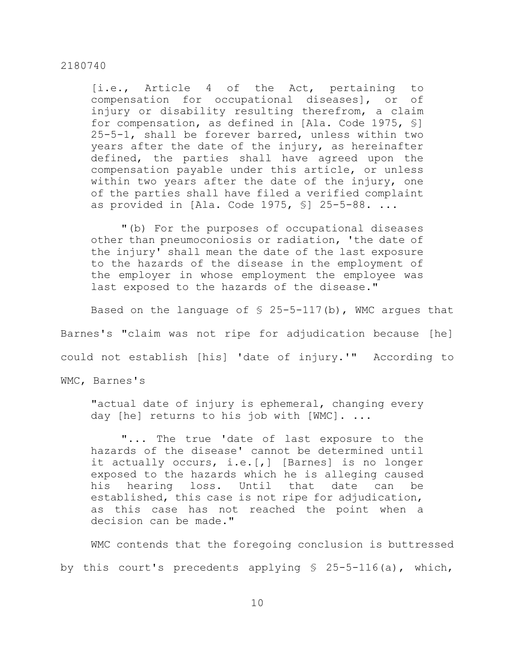[i.e., Article 4 of the Act, pertaining to compensation for occupational diseases], or of injury or disability resulting therefrom, a claim for compensation, as defined in [Ala. Code 1975, §] 25-5-1, shall be forever barred, unless within two years after the date of the injury, as hereinafter defined, the parties shall have agreed upon the compensation payable under this article, or unless within two years after the date of the injury, one of the parties shall have filed a verified complaint as provided in  $[Ala. Code 1975, S] 25-5-88. ...$ 

"(b) For the purposes of occupational diseases other than pneumoconiosis or radiation, 'the date of the injury' shall mean the date of the last exposure to the hazards of the disease in the employment of the employer in whose employment the employee was last exposed to the hazards of the disease."

Based on the language of  $\frac{1}{2}$  25-5-117(b), WMC argues that Barnes's "claim was not ripe for adjudication because [he] could not establish [his] 'date of injury.'" According to

WMC, Barnes's

"actual date of injury is ephemeral, changing every day [he] returns to his job with [WMC]. ...

"... The true 'date of last exposure to the hazards of the disease' cannot be determined until it actually occurs, i.e.[,] [Barnes] is no longer exposed to the hazards which he is alleging caused his hearing loss. Until that date can be established, this case is not ripe for adjudication, as this case has not reached the point when a decision can be made."

WMC contends that the foregoing conclusion is buttressed by this court's precedents applying  $$ 25-5-116(a)$ , which,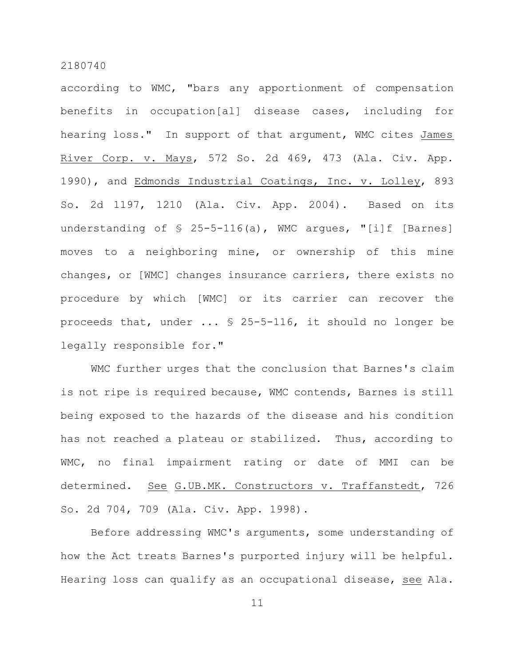according to WMC, "bars any apportionment of compensation benefits in occupation[al] disease cases, including for hearing loss." In support of that argument, WMC cites James River Corp. v. Mays, 572 So. 2d 469, 473 (Ala. Civ. App. 1990), and Edmonds Industrial Coatings, Inc. v. Lolley, 893 So. 2d 1197, 1210 (Ala. Civ. App. 2004). Based on its understanding of  $\S$  25-5-116(a), WMC argues, "[i]f [Barnes] moves to a neighboring mine, or ownership of this mine changes, or [WMC] changes insurance carriers, there exists no procedure by which [WMC] or its carrier can recover the proceeds that, under ... § 25-5-116, it should no longer be legally responsible for."

WMC further urges that the conclusion that Barnes's claim is not ripe is required because, WMC contends, Barnes is still being exposed to the hazards of the disease and his condition has not reached a plateau or stabilized. Thus, according to WMC, no final impairment rating or date of MMI can be determined. See G.UB.MK. Constructors v. Traffanstedt, 726 So. 2d 704, 709 (Ala. Civ. App. 1998).

Before addressing WMC's arguments, some understanding of how the Act treats Barnes's purported injury will be helpful. Hearing loss can qualify as an occupational disease, see Ala.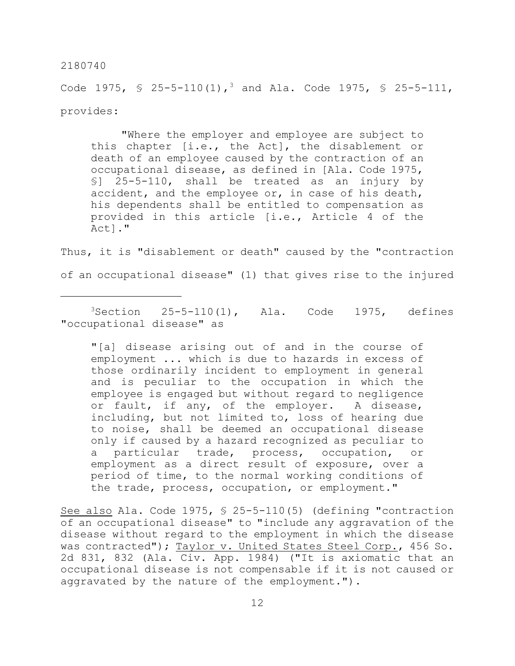Code 1975,  $\frac{1}{5}$  25-5-110(1),<sup>3</sup> and Ala. Code 1975,  $\frac{1}{5}$  25-5-111, provides:

"Where the employer and employee are subject to this chapter [i.e., the Act], the disablement or death of an employee caused by the contraction of an occupational disease, as defined in [Ala. Code 1975, §] 25-5-110, shall be treated as an injury by accident, and the employee or, in case of his death, his dependents shall be entitled to compensation as provided in this article [i.e., Article 4 of the Act]."

Thus, it is "disablement or death" caused by the "contraction of an occupational disease" (1) that gives rise to the injured

 $3$ Section 25-5-110(1), Ala. Code 1975, defines "occupational disease" as

"[a] disease arising out of and in the course of employment ... which is due to hazards in excess of those ordinarily incident to employment in general and is peculiar to the occupation in which the employee is engaged but without regard to negligence or fault, if any, of the employer. A disease, including, but not limited to, loss of hearing due to noise, shall be deemed an occupational disease only if caused by a hazard recognized as peculiar to a particular trade, process, occupation, or employment as a direct result of exposure, over a period of time, to the normal working conditions of the trade, process, occupation, or employment."

See also Ala. Code 1975, § 25-5-110(5) (defining "contraction of an occupational disease" to "include any aggravation of the disease without regard to the employment in which the disease was contracted"); Taylor v. United States Steel Corp., 456 So. 2d 831, 832 (Ala. Civ. App. 1984) ("It is axiomatic that an occupational disease is not compensable if it is not caused or aggravated by the nature of the employment.").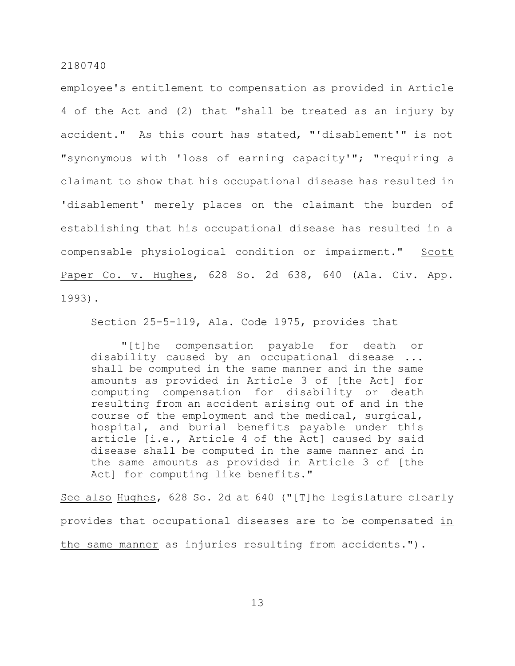employee's entitlement to compensation as provided in Article 4 of the Act and (2) that "shall be treated as an injury by accident." As this court has stated, "'disablement'" is not "synonymous with 'loss of earning capacity'"; "requiring a claimant to show that his occupational disease has resulted in 'disablement' merely places on the claimant the burden of establishing that his occupational disease has resulted in a compensable physiological condition or impairment." Scott Paper Co. v. Hughes, 628 So. 2d 638, 640 (Ala. Civ. App. 1993).

Section 25-5-119, Ala. Code 1975, provides that

"[t]he compensation payable for death or disability caused by an occupational disease ... shall be computed in the same manner and in the same amounts as provided in Article 3 of [the Act] for computing compensation for disability or death resulting from an accident arising out of and in the course of the employment and the medical, surgical, hospital, and burial benefits payable under this article [i.e., Article 4 of the Act] caused by said disease shall be computed in the same manner and in the same amounts as provided in Article 3 of [the Act] for computing like benefits."

See also Hughes, 628 So. 2d at 640 ("[T]he legislature clearly provides that occupational diseases are to be compensated in the same manner as injuries resulting from accidents.").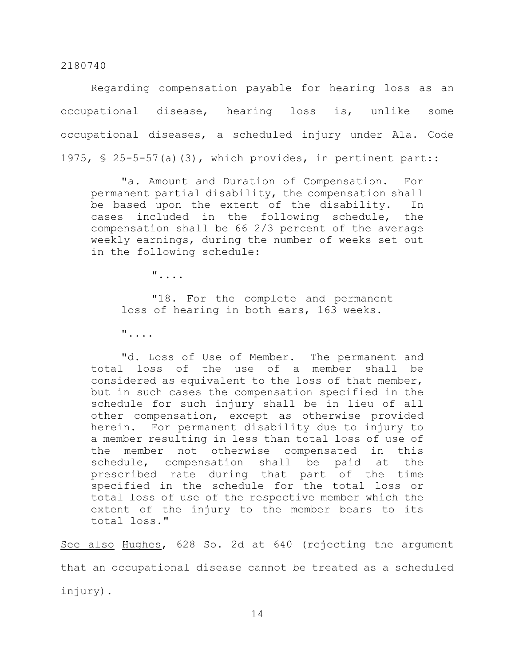Regarding compensation payable for hearing loss as an occupational disease, hearing loss is, unlike some occupational diseases, a scheduled injury under Ala. Code 1975, § 25-5-57(a)(3), which provides, in pertinent part::

"a. Amount and Duration of Compensation. For permanent partial disability, the compensation shall be based upon the extent of the disability. In cases included in the following schedule, the compensation shall be 66 2/3 percent of the average weekly earnings, during the number of weeks set out in the following schedule:

"....

"18. For the complete and permanent loss of hearing in both ears, 163 weeks.

"....

"d. Loss of Use of Member. The permanent and total loss of the use of a member shall be considered as equivalent to the loss of that member, but in such cases the compensation specified in the schedule for such injury shall be in lieu of all other compensation, except as otherwise provided herein. For permanent disability due to injury to a member resulting in less than total loss of use of the member not otherwise compensated in this schedule, compensation shall be paid at the prescribed rate during that part of the time specified in the schedule for the total loss or total loss of use of the respective member which the extent of the injury to the member bears to its total loss."

See also Hughes, 628 So. 2d at 640 (rejecting the argument that an occupational disease cannot be treated as a scheduled injury).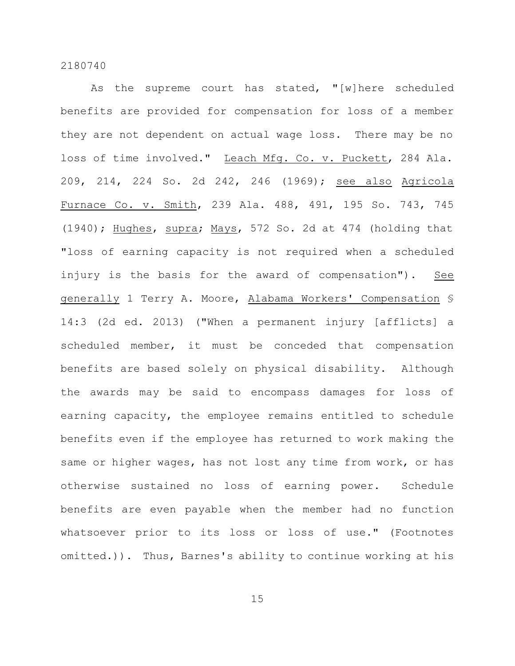As the supreme court has stated, "[w]here scheduled benefits are provided for compensation for loss of a member they are not dependent on actual wage loss. There may be no loss of time involved." Leach Mfg. Co. v. Puckett, 284 Ala. 209, 214, 224 So. 2d 242, 246 (1969); see also Agricola Furnace Co. v. Smith, 239 Ala. 488, 491, 195 So. 743, 745 (1940); Hughes, supra; Mays, 572 So. 2d at 474 (holding that "loss of earning capacity is not required when a scheduled injury is the basis for the award of compensation"). See generally 1 Terry A. Moore, Alabama Workers' Compensation § 14:3 (2d ed. 2013) ("When a permanent injury [afflicts] a scheduled member, it must be conceded that compensation benefits are based solely on physical disability. Although the awards may be said to encompass damages for loss of earning capacity, the employee remains entitled to schedule benefits even if the employee has returned to work making the same or higher wages, has not lost any time from work, or has otherwise sustained no loss of earning power. Schedule benefits are even payable when the member had no function whatsoever prior to its loss or loss of use." (Footnotes omitted.)). Thus, Barnes's ability to continue working at his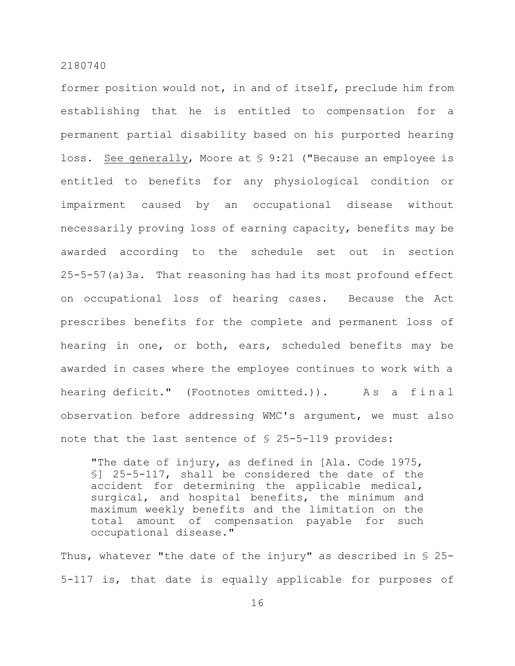former position would not, in and of itself, preclude him from establishing that he is entitled to compensation for a permanent partial disability based on his purported hearing loss. See generally, Moore at § 9:21 ("Because an employee is entitled to benefits for any physiological condition or impairment caused by an occupational disease without necessarily proving loss of earning capacity, benefits may be awarded according to the schedule set out in section 25-5-57(a)3a. That reasoning has had its most profound effect on occupational loss of hearing cases. Because the Act prescribes benefits for the complete and permanent loss of hearing in one, or both, ears, scheduled benefits may be awarded in cases where the employee continues to work with a hearing deficit." (Footnotes omitted.)). As a final observation before addressing WMC's argument, we must also note that the last sentence of § 25-5-119 provides:

"The date of injury, as defined in [Ala. Code 1975, §] 25-5-117, shall be considered the date of the accident for determining the applicable medical, surgical, and hospital benefits, the minimum and maximum weekly benefits and the limitation on the total amount of compensation payable for such occupational disease."

Thus, whatever "the date of the injury" as described in  $\S$  25-5-117 is, that date is equally applicable for purposes of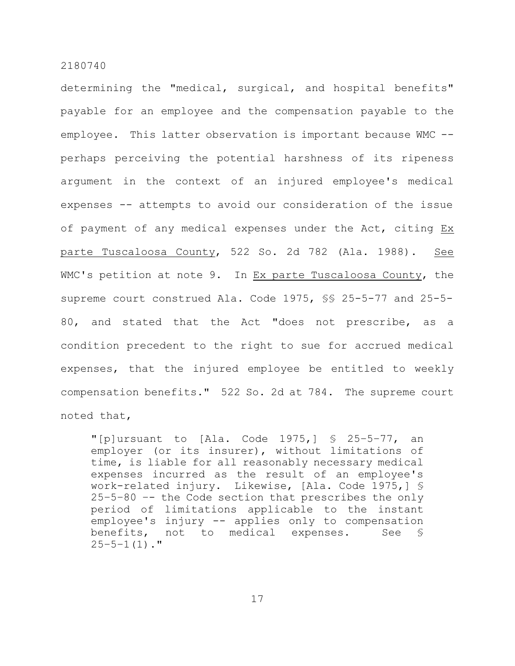determining the "medical, surgical, and hospital benefits" payable for an employee and the compensation payable to the employee. This latter observation is important because WMC - perhaps perceiving the potential harshness of its ripeness argument in the context of an injured employee's medical expenses -- attempts to avoid our consideration of the issue of payment of any medical expenses under the Act, citing Ex parte Tuscaloosa County, 522 So. 2d 782 (Ala. 1988). See WMC's petition at note 9. In Ex parte Tuscaloosa County, the supreme court construed Ala. Code 1975, §§ 25-5-77 and 25-5- 80, and stated that the Act "does not prescribe, as a condition precedent to the right to sue for accrued medical expenses, that the injured employee be entitled to weekly compensation benefits." 522 So. 2d at 784. The supreme court noted that,

"[p]ursuant to [Ala. Code 1975,] § 25–5–77, an employer (or its insurer), without limitations of time, is liable for all reasonably necessary medical expenses incurred as the result of an employee's work-related injury. Likewise, [Ala. Code 1975,] § 25–5–80 –- the Code section that prescribes the only period of limitations applicable to the instant employee's injury -- applies only to compensation benefits, not to medical expenses. See §  $25-5-1(1)$ ."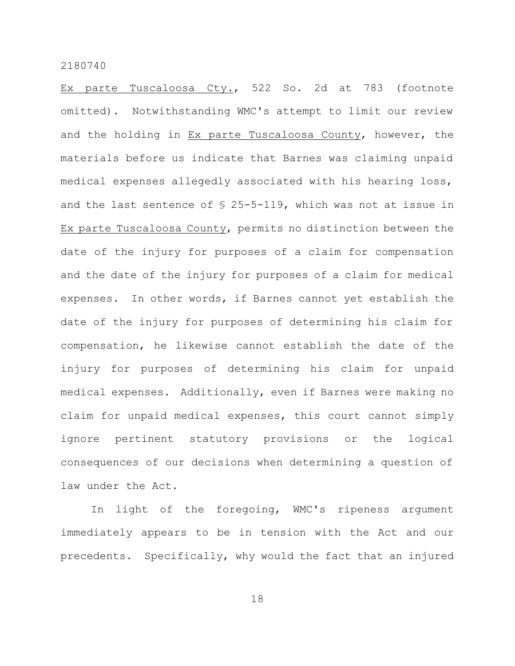Ex parte Tuscaloosa Cty., 522 So. 2d at 783 (footnote omitted). Notwithstanding WMC's attempt to limit our review and the holding in Ex parte Tuscaloosa County, however, the materials before us indicate that Barnes was claiming unpaid medical expenses allegedly associated with his hearing loss, and the last sentence of § 25-5-119, which was not at issue in Ex parte Tuscaloosa County, permits no distinction between the date of the injury for purposes of a claim for compensation and the date of the injury for purposes of a claim for medical expenses. In other words, if Barnes cannot yet establish the date of the injury for purposes of determining his claim for compensation, he likewise cannot establish the date of the injury for purposes of determining his claim for unpaid medical expenses. Additionally, even if Barnes were making no claim for unpaid medical expenses, this court cannot simply ignore pertinent statutory provisions or the logical consequences of our decisions when determining a question of law under the Act.

In light of the foregoing, WMC's ripeness argument immediately appears to be in tension with the Act and our precedents. Specifically, why would the fact that an injured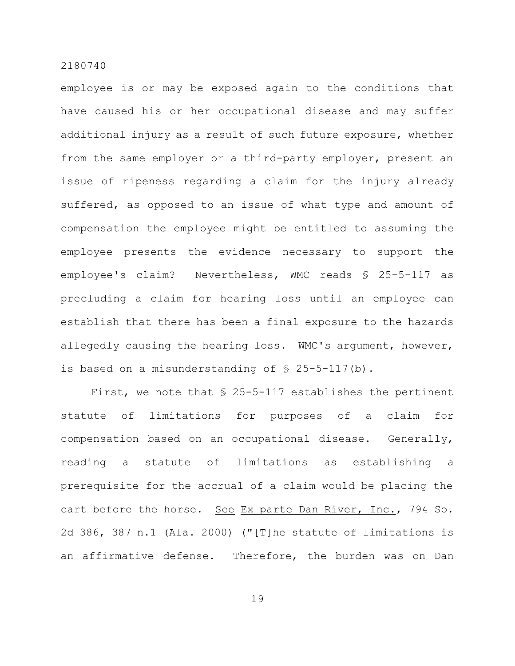employee is or may be exposed again to the conditions that have caused his or her occupational disease and may suffer additional injury as a result of such future exposure, whether from the same employer or a third-party employer, present an issue of ripeness regarding a claim for the injury already suffered, as opposed to an issue of what type and amount of compensation the employee might be entitled to assuming the employee presents the evidence necessary to support the employee's claim? Nevertheless, WMC reads § 25-5-117 as precluding a claim for hearing loss until an employee can establish that there has been a final exposure to the hazards allegedly causing the hearing loss. WMC's argument, however, is based on a misunderstanding of  $\S$  25-5-117(b).

First, we note that § 25-5-117 establishes the pertinent statute of limitations for purposes of a claim for compensation based on an occupational disease. Generally, reading a statute of limitations as establishing a prerequisite for the accrual of a claim would be placing the cart before the horse. See Ex parte Dan River, Inc., 794 So. 2d 386, 387 n.1 (Ala. 2000) ("[T]he statute of limitations is an affirmative defense. Therefore, the burden was on Dan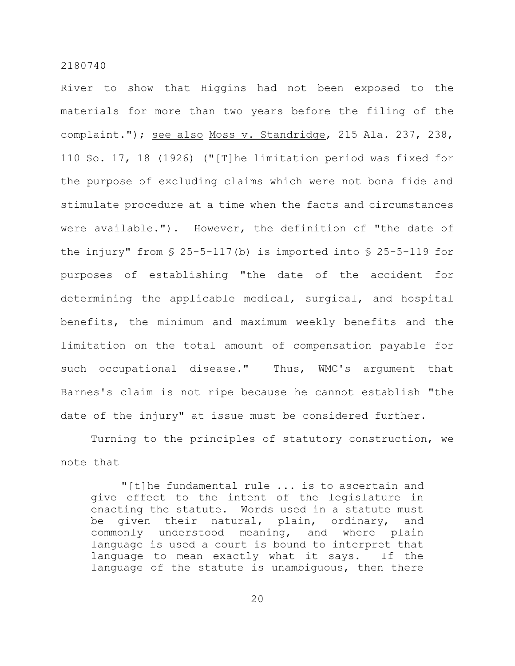River to show that Higgins had not been exposed to the materials for more than two years before the filing of the complaint."); see also Moss v. Standridge, 215 Ala. 237, 238, 110 So. 17, 18 (1926) ("[T]he limitation period was fixed for the purpose of excluding claims which were not bona fide and stimulate procedure at a time when the facts and circumstances were available."). However, the definition of "the date of the injury" from  $\S$  25-5-117(b) is imported into  $\S$  25-5-119 for purposes of establishing "the date of the accident for determining the applicable medical, surgical, and hospital benefits, the minimum and maximum weekly benefits and the limitation on the total amount of compensation payable for such occupational disease." Thus, WMC's argument that Barnes's claim is not ripe because he cannot establish "the date of the injury" at issue must be considered further.

Turning to the principles of statutory construction, we note that

"[t]he fundamental rule ... is to ascertain and give effect to the intent of the legislature in enacting the statute. Words used in a statute must be given their natural, plain, ordinary, and commonly understood meaning, and where plain language is used a court is bound to interpret that language to mean exactly what it says. If the language of the statute is unambiguous, then there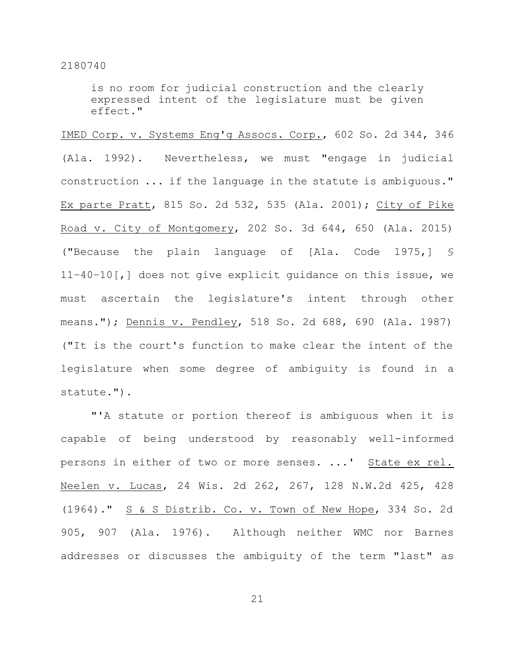is no room for judicial construction and the clearly expressed intent of the legislature must be given effect."

IMED Corp. v. Systems Eng'g Assocs. Corp., 602 So. 2d 344, 346 (Ala. 1992). Nevertheless, we must "engage in judicial construction ... if the language in the statute is ambiguous." Ex parte Pratt, 815 So. 2d 532, 535 (Ala. 2001); City of Pike Road v. City of Montgomery, 202 So. 3d 644, 650 (Ala. 2015) ("Because the plain language of [Ala. Code 1975,] § 11–40–10[,] does not give explicit guidance on this issue, we must ascertain the legislature's intent through other means."); Dennis v. Pendley, 518 So. 2d 688, 690 (Ala. 1987) ("It is the court's function to make clear the intent of the legislature when some degree of ambiguity is found in a statute.").

"'A statute or portion thereof is ambiguous when it is capable of being understood by reasonably well-informed persons in either of two or more senses. ...' State ex rel. Neelen v. Lucas, 24 Wis. 2d 262, 267, 128 N.W.2d 425, 428 (1964)." S & S Distrib. Co. v. Town of New Hope, 334 So. 2d 905, 907 (Ala. 1976). Although neither WMC nor Barnes addresses or discusses the ambiguity of the term "last" as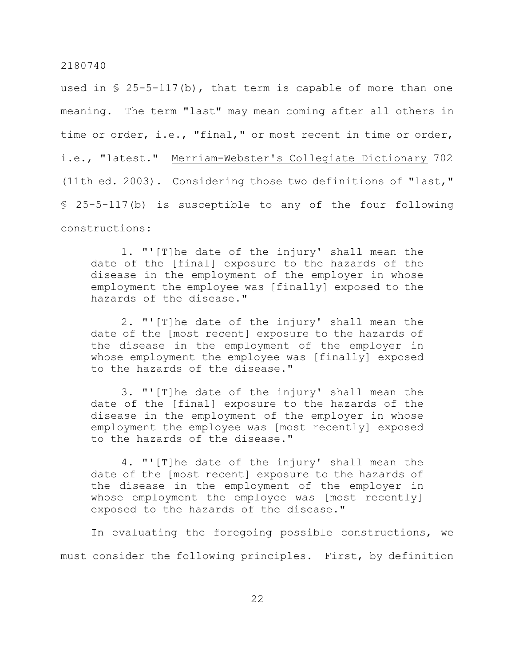used in  $\S$  25-5-117(b), that term is capable of more than one meaning. The term "last" may mean coming after all others in time or order, i.e., "final," or most recent in time or order, i.e., "latest." Merriam-Webster's Collegiate Dictionary 702 (11th ed. 2003). Considering those two definitions of "last," § 25-5-117(b) is susceptible to any of the four following constructions:

1. "'[T]he date of the injury' shall mean the date of the [final] exposure to the hazards of the disease in the employment of the employer in whose employment the employee was [finally] exposed to the hazards of the disease."

2. "'[T]he date of the injury' shall mean the date of the [most recent] exposure to the hazards of the disease in the employment of the employer in whose employment the employee was [finally] exposed to the hazards of the disease."

3. "'[T]he date of the injury' shall mean the date of the [final] exposure to the hazards of the disease in the employment of the employer in whose employment the employee was [most recently] exposed to the hazards of the disease."

4. "'[T]he date of the injury' shall mean the date of the [most recent] exposure to the hazards of the disease in the employment of the employer in whose employment the employee was [most recently] exposed to the hazards of the disease."

In evaluating the foregoing possible constructions, we must consider the following principles. First, by definition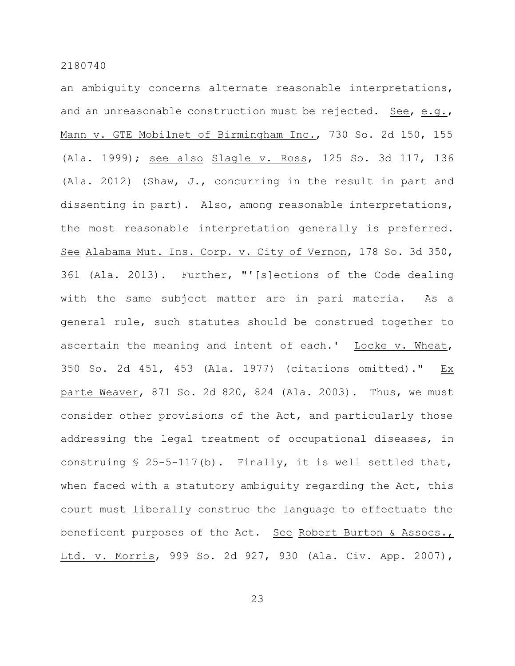an ambiguity concerns alternate reasonable interpretations, and an unreasonable construction must be rejected. See, e.g., Mann v. GTE Mobilnet of Birmingham Inc., 730 So. 2d 150, 155 (Ala. 1999); see also Slagle v. Ross, 125 So. 3d 117, 136 (Ala. 2012) (Shaw, J., concurring in the result in part and dissenting in part). Also, among reasonable interpretations, the most reasonable interpretation generally is preferred. See Alabama Mut. Ins. Corp. v. City of Vernon, 178 So. 3d 350, 361 (Ala. 2013). Further, "'[s]ections of the Code dealing with the same subject matter are in pari materia. As a general rule, such statutes should be construed together to ascertain the meaning and intent of each.' Locke v. Wheat, 350 So. 2d 451, 453 (Ala. 1977) (citations omitted)." Ex parte Weaver, 871 So. 2d 820, 824 (Ala. 2003). Thus, we must consider other provisions of the Act, and particularly those addressing the legal treatment of occupational diseases, in construing  $$ 25-5-117(b)$ . Finally, it is well settled that, when faced with a statutory ambiguity regarding the Act, this court must liberally construe the language to effectuate the beneficent purposes of the Act. See Robert Burton & Assocs., Ltd. v. Morris, 999 So. 2d 927, 930 (Ala. Civ. App. 2007),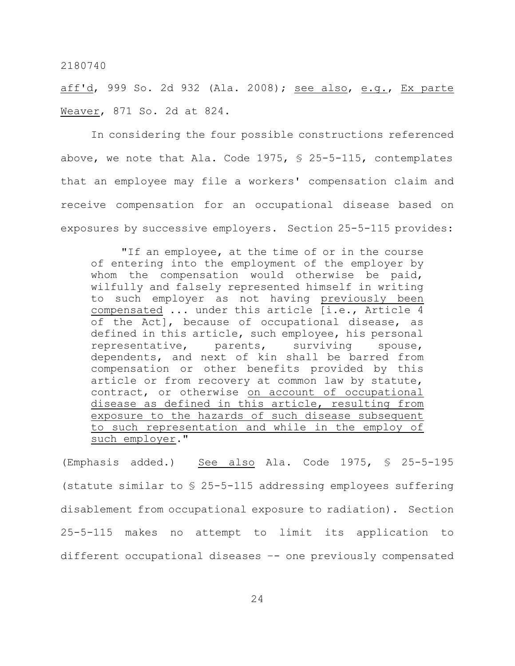aff'd, 999 So. 2d 932 (Ala. 2008); see also, e.g., Ex parte Weaver, 871 So. 2d at 824.

In considering the four possible constructions referenced above, we note that Ala. Code 1975, § 25-5-115, contemplates that an employee may file a workers' compensation claim and receive compensation for an occupational disease based on exposures by successive employers. Section 25-5-115 provides:

"If an employee, at the time of or in the course of entering into the employment of the employer by whom the compensation would otherwise be paid, wilfully and falsely represented himself in writing to such employer as not having previously been compensated ... under this article [i.e., Article 4 of the Act], because of occupational disease, as defined in this article, such employee, his personal representative, parents, surviving spouse, dependents, and next of kin shall be barred from compensation or other benefits provided by this article or from recovery at common law by statute, contract, or otherwise on account of occupational disease as defined in this article, resulting from exposure to the hazards of such disease subsequent to such representation and while in the employ of such employer."

(Emphasis added.) See also Ala. Code 1975, § 25-5-195 (statute similar to § 25-5-115 addressing employees suffering disablement from occupational exposure to radiation). Section 25-5-115 makes no attempt to limit its application to different occupational diseases –- one previously compensated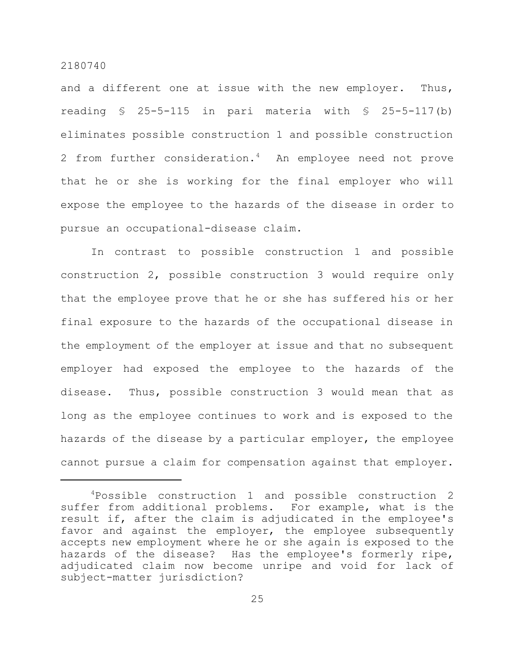and a different one at issue with the new employer. Thus, reading  $$ 25-5-115$  in pari materia with  $$ 25-5-117(b)$ eliminates possible construction 1 and possible construction 2 from further consideration.<sup>4</sup> An employee need not prove that he or she is working for the final employer who will expose the employee to the hazards of the disease in order to pursue an occupational-disease claim.

In contrast to possible construction 1 and possible construction 2, possible construction 3 would require only that the employee prove that he or she has suffered his or her final exposure to the hazards of the occupational disease in the employment of the employer at issue and that no subsequent employer had exposed the employee to the hazards of the disease. Thus, possible construction 3 would mean that as long as the employee continues to work and is exposed to the hazards of the disease by a particular employer, the employee cannot pursue a claim for compensation against that employer.

<sup>4</sup>Possible construction 1 and possible construction 2 suffer from additional problems. For example, what is the result if, after the claim is adjudicated in the employee's favor and against the employer, the employee subsequently accepts new employment where he or she again is exposed to the hazards of the disease? Has the employee's formerly ripe, adjudicated claim now become unripe and void for lack of subject-matter jurisdiction?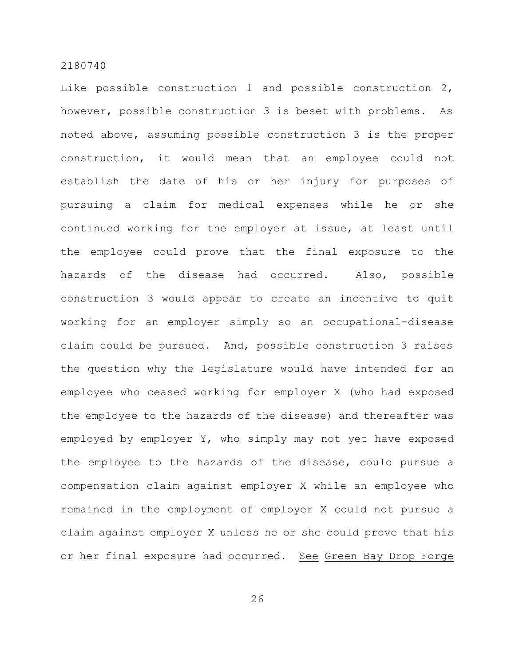Like possible construction 1 and possible construction 2, however, possible construction 3 is beset with problems. As noted above, assuming possible construction 3 is the proper construction, it would mean that an employee could not establish the date of his or her injury for purposes of pursuing a claim for medical expenses while he or she continued working for the employer at issue, at least until the employee could prove that the final exposure to the hazards of the disease had occurred. Also, possible construction 3 would appear to create an incentive to quit working for an employer simply so an occupational-disease claim could be pursued. And, possible construction 3 raises the question why the legislature would have intended for an employee who ceased working for employer X (who had exposed the employee to the hazards of the disease) and thereafter was employed by employer Y, who simply may not yet have exposed the employee to the hazards of the disease, could pursue a compensation claim against employer X while an employee who remained in the employment of employer X could not pursue a claim against employer X unless he or she could prove that his or her final exposure had occurred. See Green Bay Drop Forge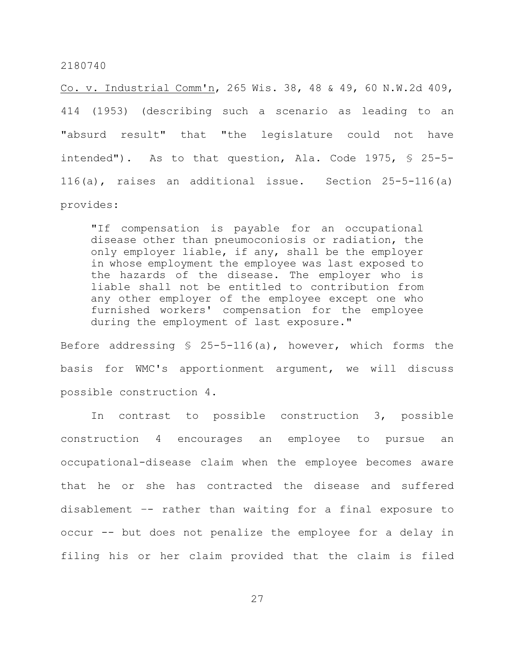Co. v. Industrial Comm'n, 265 Wis. 38, 48 & 49, 60 N.W.2d 409, 414 (1953) (describing such a scenario as leading to an "absurd result" that "the legislature could not have intended"). As to that question, Ala. Code 1975, § 25-5- 116(a), raises an additional issue. Section 25-5-116(a) provides:

"If compensation is payable for an occupational disease other than pneumoconiosis or radiation, the only employer liable, if any, shall be the employer in whose employment the employee was last exposed to the hazards of the disease. The employer who is liable shall not be entitled to contribution from any other employer of the employee except one who furnished workers' compensation for the employee during the employment of last exposure."

Before addressing § 25-5-116(a), however, which forms the basis for WMC's apportionment argument, we will discuss possible construction 4.

In contrast to possible construction 3, possible construction 4 encourages an employee to pursue an occupational-disease claim when the employee becomes aware that he or she has contracted the disease and suffered disablement –- rather than waiting for a final exposure to occur -- but does not penalize the employee for a delay in filing his or her claim provided that the claim is filed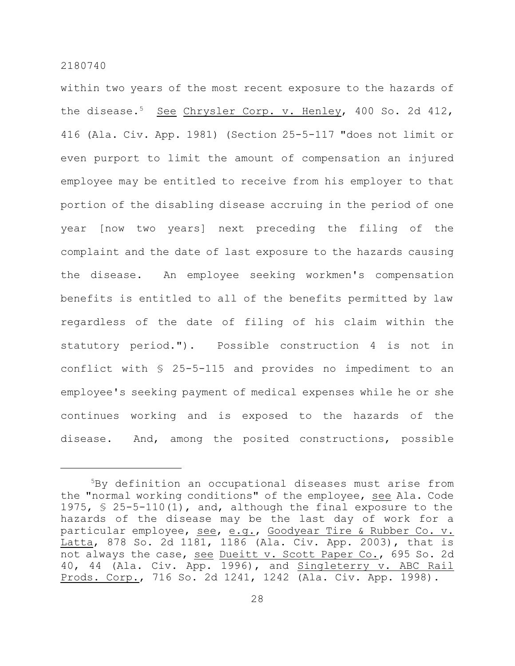within two years of the most recent exposure to the hazards of the disease.<sup>5</sup> See Chrysler Corp. v. Henley, 400 So. 2d 412, 416 (Ala. Civ. App. 1981) (Section 25-5-117 "does not limit or even purport to limit the amount of compensation an injured employee may be entitled to receive from his employer to that portion of the disabling disease accruing in the period of one year [now two years] next preceding the filing of the complaint and the date of last exposure to the hazards causing the disease. An employee seeking workmen's compensation benefits is entitled to all of the benefits permitted by law regardless of the date of filing of his claim within the statutory period."). Possible construction 4 is not in conflict with § 25-5-115 and provides no impediment to an employee's seeking payment of medical expenses while he or she continues working and is exposed to the hazards of the disease. And, among the posited constructions, possible

<sup>5</sup>By definition an occupational diseases must arise from the "normal working conditions" of the employee, see Ala. Code 1975, § 25-5-110(1), and, although the final exposure to the hazards of the disease may be the last day of work for a particular employee, see, e.g., Goodyear Tire & Rubber Co. v. Latta, 878 So. 2d 1181, 1186 (Ala. Civ. App. 2003), that is not always the case, see Dueitt v. Scott Paper Co., 695 So. 2d 40, 44 (Ala. Civ. App. 1996), and Singleterry v. ABC Rail Prods. Corp., 716 So. 2d 1241, 1242 (Ala. Civ. App. 1998).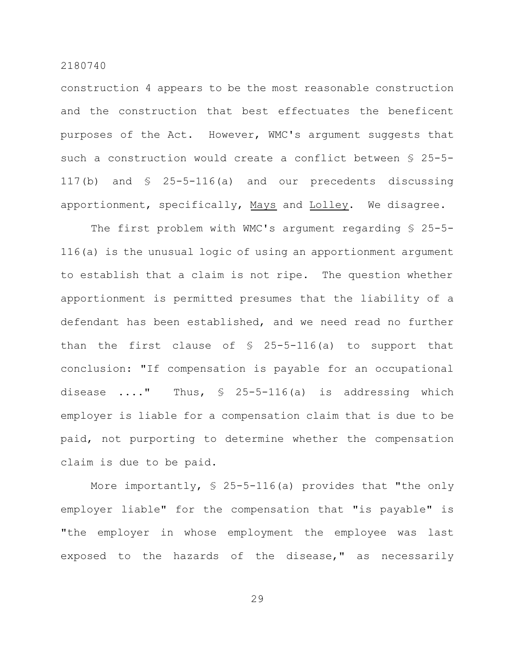construction 4 appears to be the most reasonable construction and the construction that best effectuates the beneficent purposes of the Act. However, WMC's argument suggests that such a construction would create a conflict between § 25-5- 117(b) and § 25-5-116(a) and our precedents discussing apportionment, specifically, Mays and Lolley. We disagree.

The first problem with WMC's argument regarding § 25-5- 116(a) is the unusual logic of using an apportionment argument to establish that a claim is not ripe. The question whether apportionment is permitted presumes that the liability of a defendant has been established, and we need read no further than the first clause of § 25-5-116(a) to support that conclusion: "If compensation is payable for an occupational disease ...." Thus, § 25-5-116(a) is addressing which employer is liable for a compensation claim that is due to be paid, not purporting to determine whether the compensation claim is due to be paid.

More importantly, § 25-5-116(a) provides that "the only employer liable" for the compensation that "is payable" is "the employer in whose employment the employee was last exposed to the hazards of the disease," as necessarily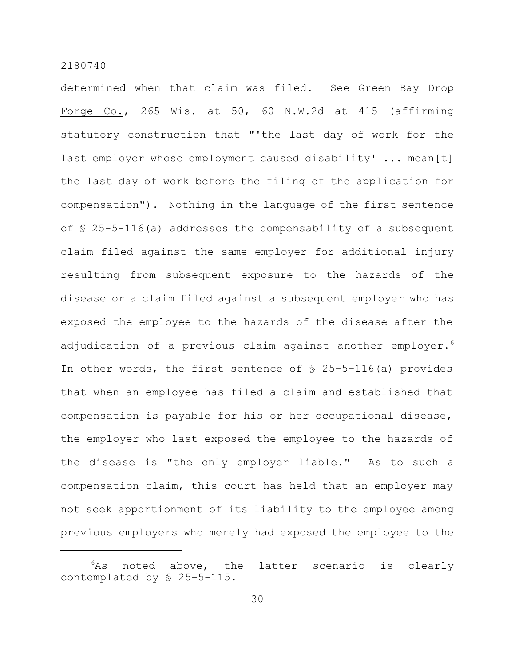determined when that claim was filed. See Green Bay Drop Forge Co., 265 Wis. at 50, 60 N.W.2d at 415 (affirming statutory construction that "'the last day of work for the last employer whose employment caused disability' ... mean[t] the last day of work before the filing of the application for compensation"). Nothing in the language of the first sentence of § 25-5-116(a) addresses the compensability of a subsequent claim filed against the same employer for additional injury resulting from subsequent exposure to the hazards of the disease or a claim filed against a subsequent employer who has exposed the employee to the hazards of the disease after the adjudication of a previous claim against another employer.<sup>6</sup> In other words, the first sentence of  $\S$  25-5-116(a) provides that when an employee has filed a claim and established that compensation is payable for his or her occupational disease, the employer who last exposed the employee to the hazards of the disease is "the only employer liable." As to such a compensation claim, this court has held that an employer may not seek apportionment of its liability to the employee among previous employers who merely had exposed the employee to the

 $6$ As noted above, the latter scenario is clearly contemplated by § 25-5-115.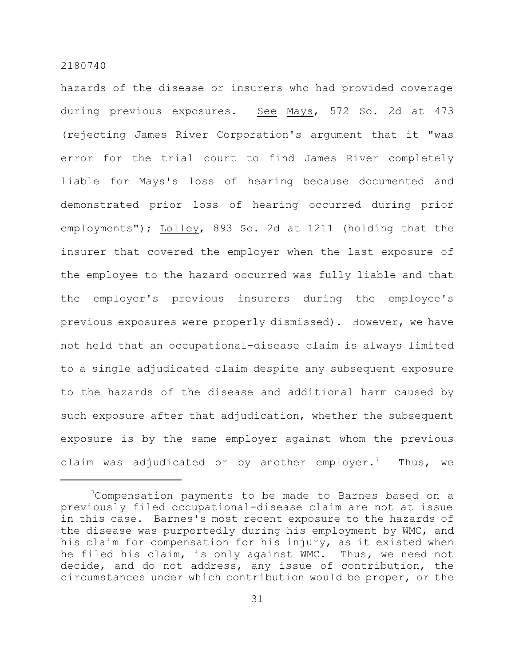hazards of the disease or insurers who had provided coverage during previous exposures. See Mays, 572 So. 2d at 473 (rejecting James River Corporation's argument that it "was error for the trial court to find James River completely liable for Mays's loss of hearing because documented and demonstrated prior loss of hearing occurred during prior employments"); Lolley, 893 So. 2d at 1211 (holding that the insurer that covered the employer when the last exposure of the employee to the hazard occurred was fully liable and that the employer's previous insurers during the employee's previous exposures were properly dismissed). However, we have not held that an occupational-disease claim is always limited to a single adjudicated claim despite any subsequent exposure to the hazards of the disease and additional harm caused by such exposure after that adjudication, whether the subsequent exposure is by the same employer against whom the previous claim was adjudicated or by another employer.<sup>7</sup> Thus, we

<sup>&</sup>lt;sup>7</sup>Compensation payments to be made to Barnes based on a previously filed occupational-disease claim are not at issue in this case. Barnes's most recent exposure to the hazards of the disease was purportedly during his employment by WMC, and his claim for compensation for his injury, as it existed when he filed his claim, is only against WMC. Thus, we need not decide, and do not address, any issue of contribution, the circumstances under which contribution would be proper, or the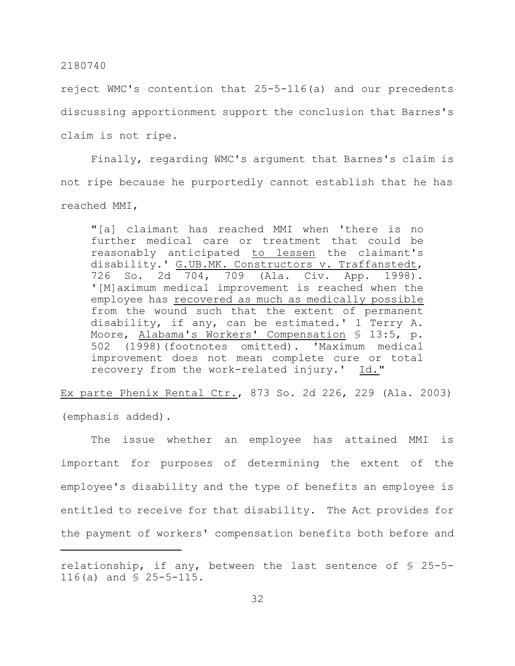reject WMC's contention that 25-5-116(a) and our precedents discussing apportionment support the conclusion that Barnes's claim is not ripe.

Finally, regarding WMC's argument that Barnes's claim is not ripe because he purportedly cannot establish that he has reached MMI,

"[a] claimant has reached MMI when 'there is no further medical care or treatment that could be reasonably anticipated to lessen the claimant's disability.' G.UB.MK. Constructors v. Traffanstedt, 726 So. 2d 704, 709 (Ala. Civ. App. 1998). '[M]aximum medical improvement is reached when the employee has recovered as much as medically possible from the wound such that the extent of permanent disability, if any, can be estimated.' 1 Terry A. Moore, Alabama's Workers' Compensation § 13:5, p. 502 (1998)(footnotes omitted). 'Maximum medical improvement does not mean complete cure or total recovery from the work-related injury.' Id."

Ex parte Phenix Rental Ctr., 873 So. 2d 226, 229 (Ala. 2003) (emphasis added).

The issue whether an employee has attained MMI is important for purposes of determining the extent of the employee's disability and the type of benefits an employee is entitled to receive for that disability. The Act provides for the payment of workers' compensation benefits both before and

relationship, if any, between the last sentence of § 25-5- 116(a) and § 25-5-115.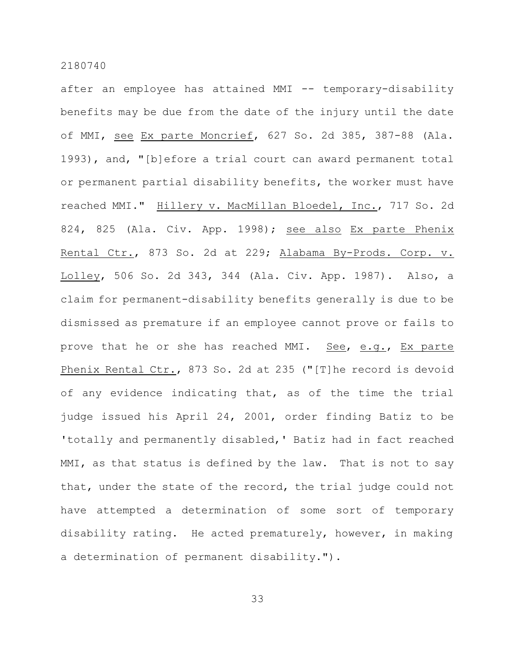after an employee has attained MMI -- temporary-disability benefits may be due from the date of the injury until the date of MMI, see Ex parte Moncrief, 627 So. 2d 385, 387-88 (Ala. 1993), and, "[b]efore a trial court can award permanent total or permanent partial disability benefits, the worker must have reached MMI." Hillery v. MacMillan Bloedel, Inc., 717 So. 2d 824, 825 (Ala. Civ. App. 1998); see also Ex parte Phenix Rental Ctr., 873 So. 2d at 229; Alabama By-Prods. Corp. v. Lolley, 506 So. 2d 343, 344 (Ala. Civ. App. 1987). Also, a claim for permanent-disability benefits generally is due to be dismissed as premature if an employee cannot prove or fails to prove that he or she has reached MMI. See, e.g., Ex parte Phenix Rental Ctr., 873 So. 2d at 235 ("[T]he record is devoid of any evidence indicating that, as of the time the trial judge issued his April 24, 2001, order finding Batiz to be 'totally and permanently disabled,' Batiz had in fact reached MMI, as that status is defined by the law. That is not to say that, under the state of the record, the trial judge could not have attempted a determination of some sort of temporary disability rating. He acted prematurely, however, in making a determination of permanent disability.").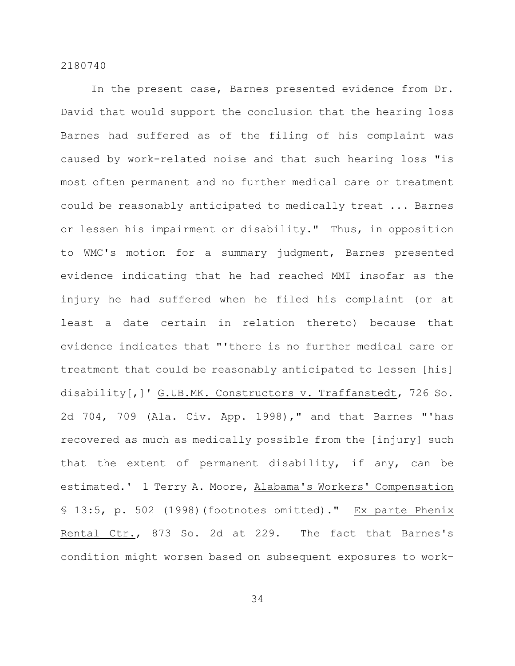In the present case, Barnes presented evidence from Dr. David that would support the conclusion that the hearing loss Barnes had suffered as of the filing of his complaint was caused by work-related noise and that such hearing loss "is most often permanent and no further medical care or treatment could be reasonably anticipated to medically treat ... Barnes or lessen his impairment or disability." Thus, in opposition to WMC's motion for a summary judgment, Barnes presented evidence indicating that he had reached MMI insofar as the injury he had suffered when he filed his complaint (or at least a date certain in relation thereto) because that evidence indicates that "'there is no further medical care or treatment that could be reasonably anticipated to lessen [his] disability[,]' G.UB.MK. Constructors v. Traffanstedt, 726 So. 2d 704, 709 (Ala. Civ. App. 1998)," and that Barnes "'has recovered as much as medically possible from the [injury] such that the extent of permanent disability, if any, can be estimated.' 1 Terry A. Moore, Alabama's Workers' Compensation § 13:5, p. 502 (1998)(footnotes omitted)." Ex parte Phenix Rental Ctr., 873 So. 2d at 229. The fact that Barnes's condition might worsen based on subsequent exposures to work-